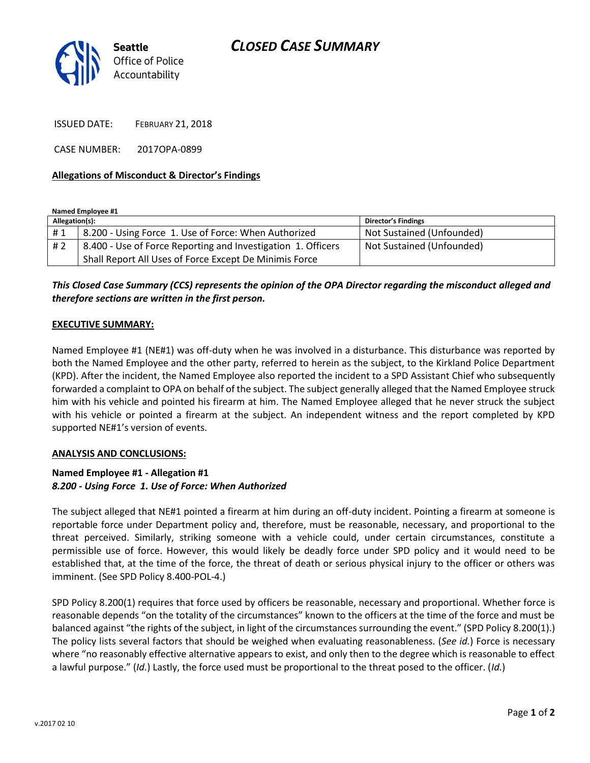

ISSUED DATE: FEBRUARY 21, 2018

CASE NUMBER: 2017OPA-0899

#### **Allegations of Misconduct & Director's Findings**

**Named Employee #1**

| Allegation(s): |                                                              | <b>Director's Findings</b> |
|----------------|--------------------------------------------------------------|----------------------------|
| #1             | 8.200 - Using Force 1. Use of Force: When Authorized         | Not Sustained (Unfounded)  |
| #2             | 8.400 - Use of Force Reporting and Investigation 1. Officers | Not Sustained (Unfounded)  |
|                | Shall Report All Uses of Force Except De Minimis Force       |                            |

*This Closed Case Summary (CCS) represents the opinion of the OPA Director regarding the misconduct alleged and therefore sections are written in the first person.* 

#### **EXECUTIVE SUMMARY:**

Named Employee #1 (NE#1) was off-duty when he was involved in a disturbance. This disturbance was reported by both the Named Employee and the other party, referred to herein as the subject, to the Kirkland Police Department (KPD). After the incident, the Named Employee also reported the incident to a SPD Assistant Chief who subsequently forwarded a complaint to OPA on behalf of the subject. The subject generally alleged that the Named Employee struck him with his vehicle and pointed his firearm at him. The Named Employee alleged that he never struck the subject with his vehicle or pointed a firearm at the subject. An independent witness and the report completed by KPD supported NE#1's version of events.

#### **ANALYSIS AND CONCLUSIONS:**

### **Named Employee #1 - Allegation #1** *8.200 - Using Force 1. Use of Force: When Authorized*

The subject alleged that NE#1 pointed a firearm at him during an off-duty incident. Pointing a firearm at someone is reportable force under Department policy and, therefore, must be reasonable, necessary, and proportional to the threat perceived. Similarly, striking someone with a vehicle could, under certain circumstances, constitute a permissible use of force. However, this would likely be deadly force under SPD policy and it would need to be established that, at the time of the force, the threat of death or serious physical injury to the officer or others was imminent. (See SPD Policy 8.400-POL-4.)

SPD Policy 8.200(1) requires that force used by officers be reasonable, necessary and proportional. Whether force is reasonable depends "on the totality of the circumstances" known to the officers at the time of the force and must be balanced against "the rights of the subject, in light of the circumstances surrounding the event." (SPD Policy 8.200(1).) The policy lists several factors that should be weighed when evaluating reasonableness. (*See id.*) Force is necessary where "no reasonably effective alternative appears to exist, and only then to the degree which is reasonable to effect a lawful purpose." (*Id.*) Lastly, the force used must be proportional to the threat posed to the officer. (*Id.*)